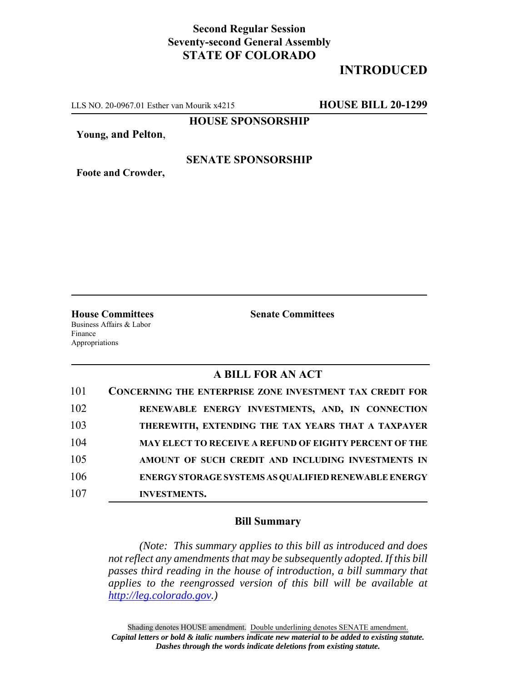## **Second Regular Session Seventy-second General Assembly STATE OF COLORADO**

# **INTRODUCED**

LLS NO. 20-0967.01 Esther van Mourik x4215 **HOUSE BILL 20-1299**

**HOUSE SPONSORSHIP**

**Young, and Pelton**,

**Foote and Crowder,**

#### **SENATE SPONSORSHIP**

**House Committees Senate Committees** Business Affairs & Labor

Finance Appropriations

### **A BILL FOR AN ACT**

| 101 | <b>CONCERNING THE ENTERPRISE ZONE INVESTMENT TAX CREDIT FOR</b> |
|-----|-----------------------------------------------------------------|
| 102 | RENEWABLE ENERGY INVESTMENTS, AND, IN CONNECTION                |
| 103 | THEREWITH, EXTENDING THE TAX YEARS THAT A TAXPAYER              |
| 104 | <b>MAY ELECT TO RECEIVE A REFUND OF EIGHTY PERCENT OF THE</b>   |
| 105 | AMOUNT OF SUCH CREDIT AND INCLUDING INVESTMENTS IN              |
| 106 | <b>ENERGY STORAGE SYSTEMS AS QUALIFIED RENEWABLE ENERGY</b>     |
| 107 | <b>INVESTMENTS.</b>                                             |

#### **Bill Summary**

*(Note: This summary applies to this bill as introduced and does not reflect any amendments that may be subsequently adopted. If this bill passes third reading in the house of introduction, a bill summary that applies to the reengrossed version of this bill will be available at http://leg.colorado.gov.)*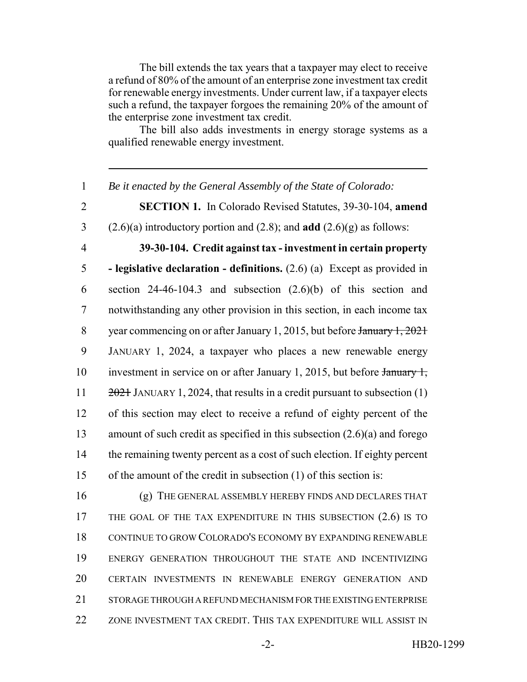The bill extends the tax years that a taxpayer may elect to receive a refund of 80% of the amount of an enterprise zone investment tax credit for renewable energy investments. Under current law, if a taxpayer elects such a refund, the taxpayer forgoes the remaining 20% of the amount of the enterprise zone investment tax credit.

The bill also adds investments in energy storage systems as a qualified renewable energy investment.

 *Be it enacted by the General Assembly of the State of Colorado:* **SECTION 1.** In Colorado Revised Statutes, 39-30-104, **amend** (2.6)(a) introductory portion and (2.8); and **add** (2.6)(g) as follows: **39-30-104. Credit against tax - investment in certain property - legislative declaration - definitions.** (2.6) (a) Except as provided in section 24-46-104.3 and subsection (2.6)(b) of this section and notwithstanding any other provision in this section, in each income tax 8 year commencing on or after January 1, 2015, but before January 1, 2021 JANUARY 1, 2024, a taxpayer who places a new renewable energy 10 investment in service on or after January 1, 2015, but before January 1,  $2021$  JANUARY 1, 2024, that results in a credit pursuant to subsection (1) of this section may elect to receive a refund of eighty percent of the amount of such credit as specified in this subsection (2.6)(a) and forego the remaining twenty percent as a cost of such election. If eighty percent of the amount of the credit in subsection (1) of this section is: (g) THE GENERAL ASSEMBLY HEREBY FINDS AND DECLARES THAT 17 THE GOAL OF THE TAX EXPENDITURE IN THIS SUBSECTION (2.6) IS TO CONTINUE TO GROW COLORADO'S ECONOMY BY EXPANDING RENEWABLE ENERGY GENERATION THROUGHOUT THE STATE AND INCENTIVIZING

20 CERTAIN INVESTMENTS IN RENEWABLE ENERGY GENERATION AND

21 STORAGE THROUGH A REFUND MECHANISM FOR THE EXISTING ENTERPRISE

22 ZONE INVESTMENT TAX CREDIT. THIS TAX EXPENDITURE WILL ASSIST IN